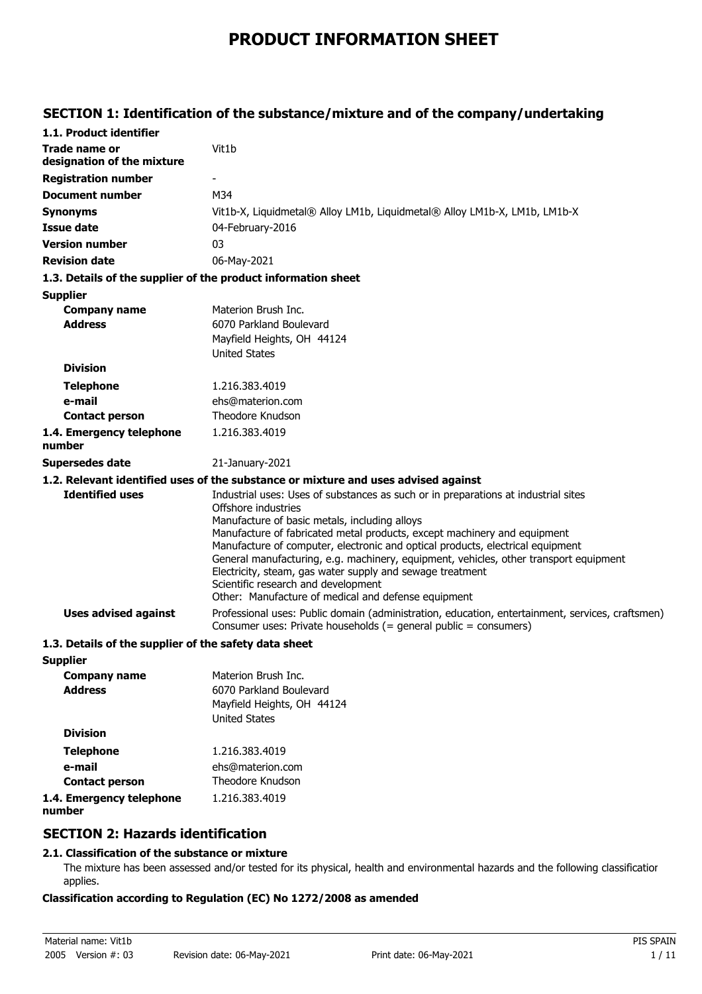# **PRODUCT INFORMATION SHEET**

## **SECTION 1: Identification of the substance/mixture and of the company/undertaking**

| 1.1. Product identifier                               |                                                                                                                                                                                                                                                                                                                                                                                                                                                                                                                                                                              |
|-------------------------------------------------------|------------------------------------------------------------------------------------------------------------------------------------------------------------------------------------------------------------------------------------------------------------------------------------------------------------------------------------------------------------------------------------------------------------------------------------------------------------------------------------------------------------------------------------------------------------------------------|
| <b>Trade name or</b><br>designation of the mixture    | Vit1b                                                                                                                                                                                                                                                                                                                                                                                                                                                                                                                                                                        |
| <b>Registration number</b>                            |                                                                                                                                                                                                                                                                                                                                                                                                                                                                                                                                                                              |
| <b>Document number</b>                                | M34                                                                                                                                                                                                                                                                                                                                                                                                                                                                                                                                                                          |
| <b>Synonyms</b>                                       | Vit1b-X, Liquidmetal® Alloy LM1b, Liquidmetal® Alloy LM1b-X, LM1b, LM1b-X                                                                                                                                                                                                                                                                                                                                                                                                                                                                                                    |
| <b>Issue date</b>                                     | 04-February-2016                                                                                                                                                                                                                                                                                                                                                                                                                                                                                                                                                             |
| <b>Version number</b>                                 | 03                                                                                                                                                                                                                                                                                                                                                                                                                                                                                                                                                                           |
| <b>Revision date</b>                                  | 06-May-2021                                                                                                                                                                                                                                                                                                                                                                                                                                                                                                                                                                  |
|                                                       | 1.3. Details of the supplier of the product information sheet                                                                                                                                                                                                                                                                                                                                                                                                                                                                                                                |
| <b>Supplier</b>                                       |                                                                                                                                                                                                                                                                                                                                                                                                                                                                                                                                                                              |
| <b>Company name</b>                                   | Materion Brush Inc.                                                                                                                                                                                                                                                                                                                                                                                                                                                                                                                                                          |
| <b>Address</b>                                        | 6070 Parkland Boulevard                                                                                                                                                                                                                                                                                                                                                                                                                                                                                                                                                      |
|                                                       | Mayfield Heights, OH 44124                                                                                                                                                                                                                                                                                                                                                                                                                                                                                                                                                   |
|                                                       | <b>United States</b>                                                                                                                                                                                                                                                                                                                                                                                                                                                                                                                                                         |
| <b>Division</b>                                       |                                                                                                                                                                                                                                                                                                                                                                                                                                                                                                                                                                              |
| <b>Telephone</b>                                      | 1.216.383.4019                                                                                                                                                                                                                                                                                                                                                                                                                                                                                                                                                               |
| e-mail                                                | ehs@materion.com<br>Theodore Knudson                                                                                                                                                                                                                                                                                                                                                                                                                                                                                                                                         |
| <b>Contact person</b>                                 |                                                                                                                                                                                                                                                                                                                                                                                                                                                                                                                                                                              |
| 1.4. Emergency telephone<br>number                    | 1.216.383.4019                                                                                                                                                                                                                                                                                                                                                                                                                                                                                                                                                               |
| <b>Supersedes date</b>                                | 21-January-2021                                                                                                                                                                                                                                                                                                                                                                                                                                                                                                                                                              |
|                                                       | 1.2. Relevant identified uses of the substance or mixture and uses advised against                                                                                                                                                                                                                                                                                                                                                                                                                                                                                           |
| <b>Identified uses</b>                                | Industrial uses: Uses of substances as such or in preparations at industrial sites<br>Offshore industries<br>Manufacture of basic metals, including alloys<br>Manufacture of fabricated metal products, except machinery and equipment<br>Manufacture of computer, electronic and optical products, electrical equipment<br>General manufacturing, e.g. machinery, equipment, vehicles, other transport equipment<br>Electricity, steam, gas water supply and sewage treatment<br>Scientific research and development<br>Other: Manufacture of medical and defense equipment |
| <b>Uses advised against</b>                           | Professional uses: Public domain (administration, education, entertainment, services, craftsmen)<br>Consumer uses: Private households (= general public = consumers)                                                                                                                                                                                                                                                                                                                                                                                                         |
| 1.3. Details of the supplier of the safety data sheet |                                                                                                                                                                                                                                                                                                                                                                                                                                                                                                                                                                              |
| <b>Supplier</b>                                       |                                                                                                                                                                                                                                                                                                                                                                                                                                                                                                                                                                              |
| <b>Company name</b>                                   | Materion Brush Inc.                                                                                                                                                                                                                                                                                                                                                                                                                                                                                                                                                          |
| <b>Address</b>                                        | 6070 Parkland Boulevard                                                                                                                                                                                                                                                                                                                                                                                                                                                                                                                                                      |
|                                                       | Mayfield Heights, OH 44124                                                                                                                                                                                                                                                                                                                                                                                                                                                                                                                                                   |
|                                                       | <b>United States</b>                                                                                                                                                                                                                                                                                                                                                                                                                                                                                                                                                         |
| <b>Division</b>                                       |                                                                                                                                                                                                                                                                                                                                                                                                                                                                                                                                                                              |
| <b>Telephone</b>                                      | 1.216.383.4019                                                                                                                                                                                                                                                                                                                                                                                                                                                                                                                                                               |
| e-mail                                                | ehs@materion.com                                                                                                                                                                                                                                                                                                                                                                                                                                                                                                                                                             |
| <b>Contact person</b>                                 | Theodore Knudson                                                                                                                                                                                                                                                                                                                                                                                                                                                                                                                                                             |
| 1.4. Emergency telephone                              | 1.216.383.4019                                                                                                                                                                                                                                                                                                                                                                                                                                                                                                                                                               |

**number**

## **SECTION 2: Hazards identification**

#### **2.1. Classification of the substance or mixture**

The mixture has been assessed and/or tested for its physical, health and environmental hazards and the following classification applies.

#### **Classification according to Regulation (EC) No 1272/2008 as amended**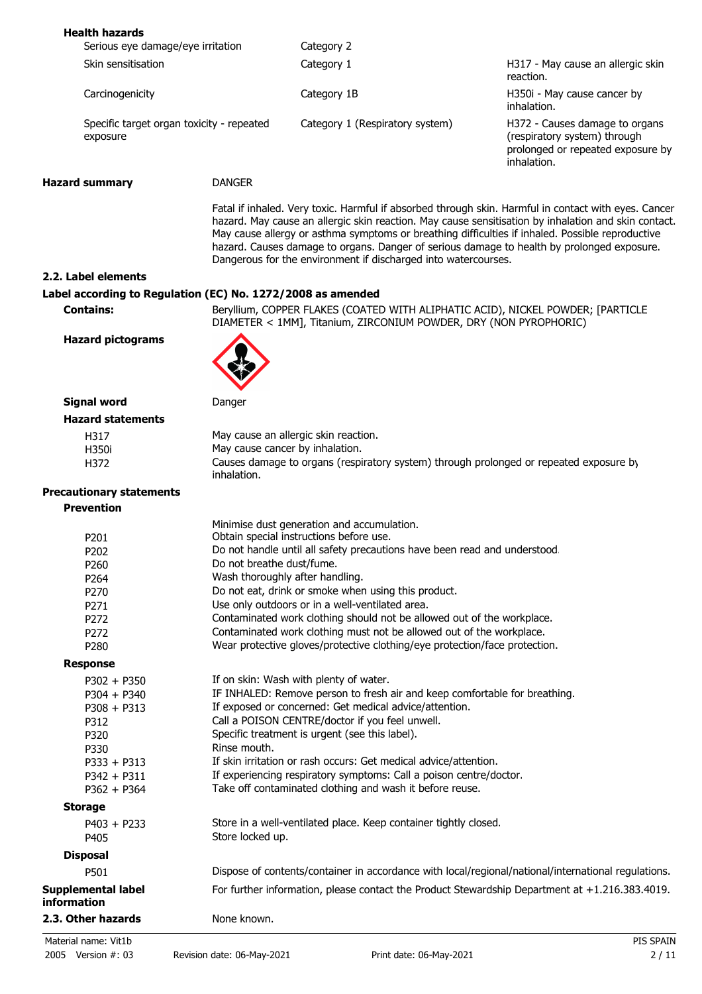| <b>Health hazards</b>                                       |                           |                                                                                                                                                                                                                                                                  |                                                                                                                                                                                                              |
|-------------------------------------------------------------|---------------------------|------------------------------------------------------------------------------------------------------------------------------------------------------------------------------------------------------------------------------------------------------------------|--------------------------------------------------------------------------------------------------------------------------------------------------------------------------------------------------------------|
| Serious eye damage/eye irritation                           |                           | Category 2                                                                                                                                                                                                                                                       |                                                                                                                                                                                                              |
| Skin sensitisation                                          |                           | Category 1                                                                                                                                                                                                                                                       | H317 - May cause an allergic skin<br>reaction.                                                                                                                                                               |
| Carcinogenicity                                             |                           | Category 1B                                                                                                                                                                                                                                                      | H350i - May cause cancer by<br>inhalation.                                                                                                                                                                   |
| Specific target organ toxicity - repeated<br>exposure       |                           | Category 1 (Respiratory system)                                                                                                                                                                                                                                  | H372 - Causes damage to organs<br>(respiratory system) through<br>prolonged or repeated exposure by<br>inhalation.                                                                                           |
| <b>Hazard summary</b>                                       | <b>DANGER</b>             |                                                                                                                                                                                                                                                                  |                                                                                                                                                                                                              |
|                                                             |                           | May cause allergy or asthma symptoms or breathing difficulties if inhaled. Possible reproductive<br>hazard. Causes damage to organs. Danger of serious damage to health by prolonged exposure.<br>Dangerous for the environment if discharged into watercourses. | Fatal if inhaled. Very toxic. Harmful if absorbed through skin. Harmful in contact with eyes. Cancer<br>hazard. May cause an allergic skin reaction. May cause sensitisation by inhalation and skin contact. |
| 2.2. Label elements                                         |                           |                                                                                                                                                                                                                                                                  |                                                                                                                                                                                                              |
| Label according to Regulation (EC) No. 1272/2008 as amended |                           |                                                                                                                                                                                                                                                                  |                                                                                                                                                                                                              |
| <b>Contains:</b>                                            |                           | Beryllium, COPPER FLAKES (COATED WITH ALIPHATIC ACID), NICKEL POWDER; [PARTICLE<br>DIAMETER < 1MM], Titanium, ZIRCONIUM POWDER, DRY (NON PYROPHORIC)                                                                                                             |                                                                                                                                                                                                              |
| <b>Hazard pictograms</b>                                    |                           |                                                                                                                                                                                                                                                                  |                                                                                                                                                                                                              |
| <b>Signal word</b>                                          | Danger                    |                                                                                                                                                                                                                                                                  |                                                                                                                                                                                                              |
| <b>Hazard statements</b>                                    |                           |                                                                                                                                                                                                                                                                  |                                                                                                                                                                                                              |
| H317                                                        |                           | May cause an allergic skin reaction.                                                                                                                                                                                                                             |                                                                                                                                                                                                              |
| H350i                                                       |                           | May cause cancer by inhalation.                                                                                                                                                                                                                                  |                                                                                                                                                                                                              |
| H372                                                        | inhalation.               | Causes damage to organs (respiratory system) through prolonged or repeated exposure by                                                                                                                                                                           |                                                                                                                                                                                                              |
| <b>Precautionary statements</b>                             |                           |                                                                                                                                                                                                                                                                  |                                                                                                                                                                                                              |
| <b>Prevention</b>                                           |                           |                                                                                                                                                                                                                                                                  |                                                                                                                                                                                                              |
|                                                             |                           | Minimise dust generation and accumulation.                                                                                                                                                                                                                       |                                                                                                                                                                                                              |
| P201                                                        |                           | Obtain special instructions before use.                                                                                                                                                                                                                          |                                                                                                                                                                                                              |
| P202                                                        |                           | Do not handle until all safety precautions have been read and understood.                                                                                                                                                                                        |                                                                                                                                                                                                              |
| P260                                                        | Do not breathe dust/fume. |                                                                                                                                                                                                                                                                  |                                                                                                                                                                                                              |
| P264                                                        |                           | Wash thoroughly after handling.                                                                                                                                                                                                                                  |                                                                                                                                                                                                              |
| P270                                                        |                           | Do not eat, drink or smoke when using this product.                                                                                                                                                                                                              |                                                                                                                                                                                                              |
| P271                                                        |                           | Use only outdoors or in a well-ventilated area.                                                                                                                                                                                                                  |                                                                                                                                                                                                              |
| P272                                                        |                           | Contaminated work clothing should not be allowed out of the workplace.                                                                                                                                                                                           |                                                                                                                                                                                                              |
| P272                                                        |                           | Contaminated work clothing must not be allowed out of the workplace.                                                                                                                                                                                             |                                                                                                                                                                                                              |
| P280                                                        |                           | Wear protective gloves/protective clothing/eye protection/face protection.                                                                                                                                                                                       |                                                                                                                                                                                                              |
| <b>Response</b>                                             |                           |                                                                                                                                                                                                                                                                  |                                                                                                                                                                                                              |
| $P302 + P350$                                               |                           | If on skin: Wash with plenty of water.                                                                                                                                                                                                                           |                                                                                                                                                                                                              |
| $P304 + P340$                                               |                           | IF INHALED: Remove person to fresh air and keep comfortable for breathing.                                                                                                                                                                                       |                                                                                                                                                                                                              |
| $P308 + P313$                                               |                           | If exposed or concerned: Get medical advice/attention.                                                                                                                                                                                                           |                                                                                                                                                                                                              |
| P312                                                        |                           | Call a POISON CENTRE/doctor if you feel unwell.                                                                                                                                                                                                                  |                                                                                                                                                                                                              |
| P320                                                        |                           | Specific treatment is urgent (see this label).                                                                                                                                                                                                                   |                                                                                                                                                                                                              |
| P330                                                        | Rinse mouth.              |                                                                                                                                                                                                                                                                  |                                                                                                                                                                                                              |
| $P333 + P313$                                               |                           | If skin irritation or rash occurs: Get medical advice/attention.                                                                                                                                                                                                 |                                                                                                                                                                                                              |
| $P342 + P311$                                               |                           | If experiencing respiratory symptoms: Call a poison centre/doctor.                                                                                                                                                                                               |                                                                                                                                                                                                              |
| $P362 + P364$                                               |                           | Take off contaminated clothing and wash it before reuse.                                                                                                                                                                                                         |                                                                                                                                                                                                              |
| <b>Storage</b>                                              |                           |                                                                                                                                                                                                                                                                  |                                                                                                                                                                                                              |
|                                                             |                           | Store in a well-ventilated place. Keep container tightly closed.                                                                                                                                                                                                 |                                                                                                                                                                                                              |
| $P403 + P233$                                               | Store locked up.          |                                                                                                                                                                                                                                                                  |                                                                                                                                                                                                              |
| P405                                                        |                           |                                                                                                                                                                                                                                                                  |                                                                                                                                                                                                              |
| <b>Disposal</b>                                             |                           |                                                                                                                                                                                                                                                                  |                                                                                                                                                                                                              |
| P501                                                        |                           | Dispose of contents/container in accordance with local/regional/national/international regulations.                                                                                                                                                              |                                                                                                                                                                                                              |
| Supplemental label<br>information                           |                           | For further information, please contact the Product Stewardship Department at +1.216.383.4019.                                                                                                                                                                   |                                                                                                                                                                                                              |
| 2.3. Other hazards                                          | None known.               |                                                                                                                                                                                                                                                                  |                                                                                                                                                                                                              |
| Material name: Vit1b                                        |                           |                                                                                                                                                                                                                                                                  | PIS SPAIN                                                                                                                                                                                                    |
|                                                             |                           |                                                                                                                                                                                                                                                                  |                                                                                                                                                                                                              |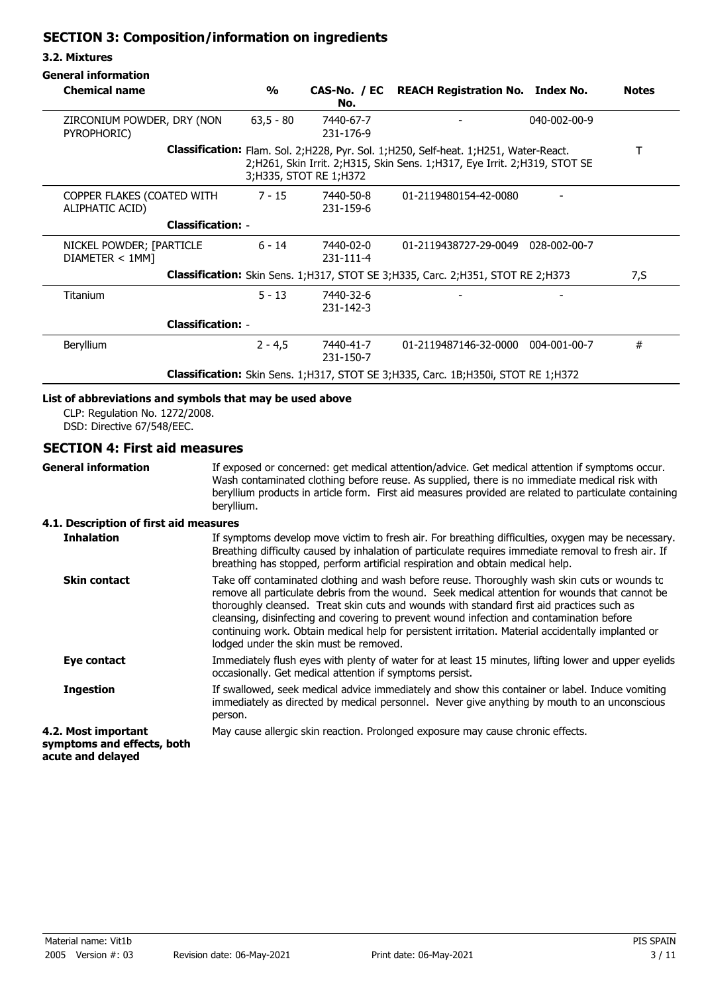## **SECTION 3: Composition/information on ingredients**

#### **3.2. Mixtures**

| <b>Chemical name</b>                                                                     | $\frac{0}{0}$ | No.                          | CAS-No. / EC REACH Registration No. Index No.                                                                                                                            |              | <b>Notes</b> |
|------------------------------------------------------------------------------------------|---------------|------------------------------|--------------------------------------------------------------------------------------------------------------------------------------------------------------------------|--------------|--------------|
| ZIRCONIUM POWDER, DRY (NON<br>PYROPHORIC)                                                | $63,5 - 80$   | 7440-67-7<br>231-176-9       |                                                                                                                                                                          | 040-002-00-9 |              |
|                                                                                          |               | 3; H335, STOT RE 1; H372     | <b>Classification:</b> Flam. Sol. 2;H228, Pyr. Sol. 1;H250, Self-heat. 1;H251, Water-React.<br>2;H261, Skin Irrit. 2;H315, Skin Sens. 1;H317, Eye Irrit. 2;H319, STOT SE |              |              |
| COPPER FLAKES (COATED WITH<br>ALIPHATIC ACID)                                            | $7 - 15$      | 7440-50-8<br>231-159-6       | 01-2119480154-42-0080                                                                                                                                                    |              |              |
| <b>Classification: -</b>                                                                 |               |                              |                                                                                                                                                                          |              |              |
| NICKEL POWDER; [PARTICLE<br>DIAMETER < 1MM]                                              | $6 - 14$      | 7440-02-0<br>231-111-4       | 01-2119438727-29-0049 028-002-00-7                                                                                                                                       |              |              |
| Classification: Skin Sens. 1; H317, STOT SE 3; H335, Carc. 2; H351, STOT RE 2; H373      |               |                              |                                                                                                                                                                          | 7,S          |              |
| Titanium                                                                                 | $5 - 13$      | 7440-32-6<br>$231 - 142 - 3$ |                                                                                                                                                                          |              |              |
| <b>Classification: -</b>                                                                 |               |                              |                                                                                                                                                                          |              |              |
| Beryllium                                                                                | $2 - 4.5$     | 7440-41-7<br>231-150-7       | 01-2119487146-32-0000 004-001-00-7                                                                                                                                       |              | #            |
| <b>Classification:</b> Skin Sens. 1;H317, STOT SE 3;H335, Carc. 1B;H350i, STOT RE 1;H372 |               |                              |                                                                                                                                                                          |              |              |

### **List of abbreviations and symbols that may be used above**

CLP: Regulation No. 1272/2008. DSD: Directive 67/548/EEC.

#### **SECTION 4: First aid measures**

**General information**

If exposed or concerned: get medical attention/advice. Get medical attention if symptoms occur. Wash contaminated clothing before reuse. As supplied, there is no immediate medical risk with beryllium products in article form. First aid measures provided are related to particulate containing beryllium.

#### **4.1. Description of first aid measures**

| <b>Inhalation</b>                                                      | If symptoms develop move victim to fresh air. For breathing difficulties, oxygen may be necessary.<br>Breathing difficulty caused by inhalation of particulate requires immediate removal to fresh air. If<br>breathing has stopped, perform artificial respiration and obtain medical help.                                                                                                                                                                                                                                            |
|------------------------------------------------------------------------|-----------------------------------------------------------------------------------------------------------------------------------------------------------------------------------------------------------------------------------------------------------------------------------------------------------------------------------------------------------------------------------------------------------------------------------------------------------------------------------------------------------------------------------------|
| <b>Skin contact</b>                                                    | Take off contaminated clothing and wash before reuse. Thoroughly wash skin cuts or wounds to<br>remove all particulate debris from the wound. Seek medical attention for wounds that cannot be<br>thoroughly cleansed. Treat skin cuts and wounds with standard first aid practices such as<br>cleansing, disinfecting and covering to prevent wound infection and contamination before<br>continuing work. Obtain medical help for persistent irritation. Material accidentally implanted or<br>lodged under the skin must be removed. |
| Eye contact                                                            | Immediately flush eyes with plenty of water for at least 15 minutes, lifting lower and upper eyelids<br>occasionally. Get medical attention if symptoms persist.                                                                                                                                                                                                                                                                                                                                                                        |
| <b>Ingestion</b>                                                       | If swallowed, seek medical advice immediately and show this container or label. Induce vomiting<br>immediately as directed by medical personnel. Never give anything by mouth to an unconscious<br>person.                                                                                                                                                                                                                                                                                                                              |
| 4.2. Most important<br>symptoms and effects, both<br>acute and delayed | May cause allergic skin reaction. Prolonged exposure may cause chronic effects.                                                                                                                                                                                                                                                                                                                                                                                                                                                         |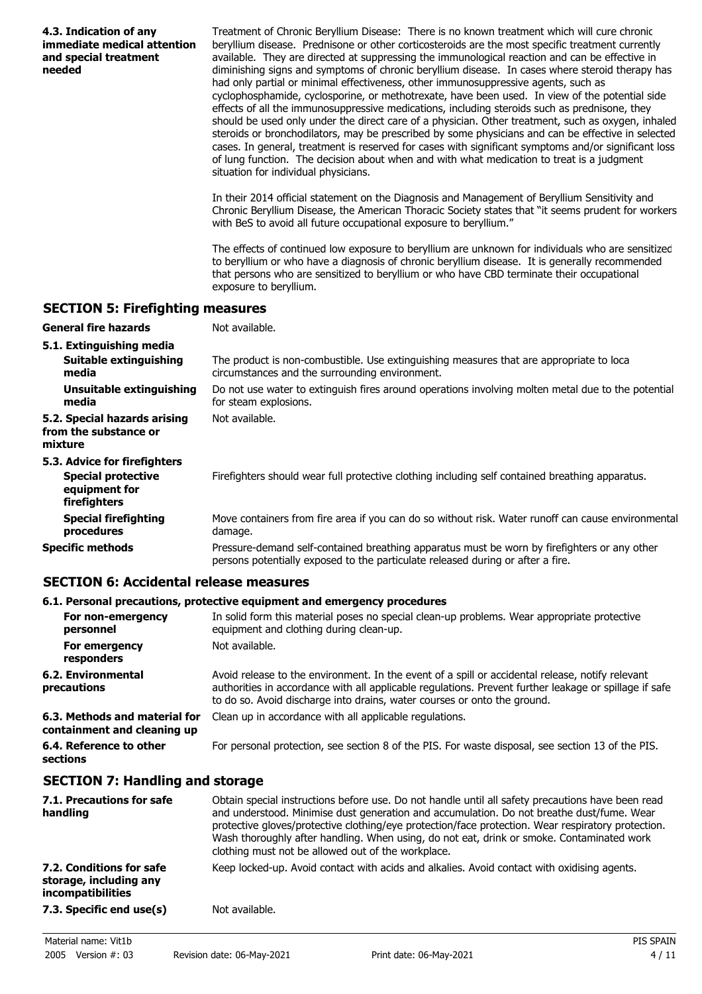| 4.3. Indication of any<br>immediate medical attention<br>and special treatment<br>needed | Treatment of Chronic Beryllium Disease: There is no known treatment which will cure chronic<br>beryllium disease. Prednisone or other corticosteroids are the most specific treatment currently<br>available. They are directed at suppressing the immunological reaction and can be effective in<br>diminishing signs and symptoms of chronic beryllium disease. In cases where steroid therapy has<br>had only partial or minimal effectiveness, other immunosuppressive agents, such as<br>cyclophosphamide, cyclosporine, or methotrexate, have been used. In view of the potential side<br>effects of all the immunosuppressive medications, including steroids such as prednisone, they<br>should be used only under the direct care of a physician. Other treatment, such as oxygen, inhaled<br>steroids or bronchodilators, may be prescribed by some physicians and can be effective in selected<br>cases. In general, treatment is reserved for cases with significant symptoms and/or significant loss<br>of lung function. The decision about when and with what medication to treat is a judgment<br>situation for individual physicians.<br>In their 2014 official statement on the Diagnosis and Management of Beryllium Sensitivity and |
|------------------------------------------------------------------------------------------|---------------------------------------------------------------------------------------------------------------------------------------------------------------------------------------------------------------------------------------------------------------------------------------------------------------------------------------------------------------------------------------------------------------------------------------------------------------------------------------------------------------------------------------------------------------------------------------------------------------------------------------------------------------------------------------------------------------------------------------------------------------------------------------------------------------------------------------------------------------------------------------------------------------------------------------------------------------------------------------------------------------------------------------------------------------------------------------------------------------------------------------------------------------------------------------------------------------------------------------------------------|
|                                                                                          | Chronic Beryllium Disease, the American Thoracic Society states that "it seems prudent for workers<br>with BeS to avoid all future occupational exposure to beryllium."                                                                                                                                                                                                                                                                                                                                                                                                                                                                                                                                                                                                                                                                                                                                                                                                                                                                                                                                                                                                                                                                                 |
|                                                                                          | The effects of continued low exposure to beryllium are unknown for individuals who are sensitized<br>to beryllium or who have a diagnosis of chronic beryllium disease. It is generally recommended<br>that persons who are sensitized to beryllium or who have CBD terminate their occupational<br>exposure to beryllium.                                                                                                                                                                                                                                                                                                                                                                                                                                                                                                                                                                                                                                                                                                                                                                                                                                                                                                                              |
| <b>SECTION 5: Firefighting measures</b>                                                  |                                                                                                                                                                                                                                                                                                                                                                                                                                                                                                                                                                                                                                                                                                                                                                                                                                                                                                                                                                                                                                                                                                                                                                                                                                                         |
| <b>General fire hazards</b>                                                              | Not available.                                                                                                                                                                                                                                                                                                                                                                                                                                                                                                                                                                                                                                                                                                                                                                                                                                                                                                                                                                                                                                                                                                                                                                                                                                          |
| 5.1. Extinguishing media                                                                 |                                                                                                                                                                                                                                                                                                                                                                                                                                                                                                                                                                                                                                                                                                                                                                                                                                                                                                                                                                                                                                                                                                                                                                                                                                                         |
| Suitable extinguishing<br>media                                                          | The product is non-combustible. Use extinguishing measures that are appropriate to loca<br>circumstances and the surrounding environment.                                                                                                                                                                                                                                                                                                                                                                                                                                                                                                                                                                                                                                                                                                                                                                                                                                                                                                                                                                                                                                                                                                               |
| <b>Unsuitable extinguishing</b><br>media                                                 | Do not use water to extinguish fires around operations involving molten metal due to the potential<br>for steam explosions.                                                                                                                                                                                                                                                                                                                                                                                                                                                                                                                                                                                                                                                                                                                                                                                                                                                                                                                                                                                                                                                                                                                             |
| 5.2. Special hazards arising<br>from the substance or<br>mixture                         | Not available.                                                                                                                                                                                                                                                                                                                                                                                                                                                                                                                                                                                                                                                                                                                                                                                                                                                                                                                                                                                                                                                                                                                                                                                                                                          |
| 5.3. Advice for firefighters                                                             |                                                                                                                                                                                                                                                                                                                                                                                                                                                                                                                                                                                                                                                                                                                                                                                                                                                                                                                                                                                                                                                                                                                                                                                                                                                         |
| <b>Special protective</b><br>equipment for<br>firefighters                               | Firefighters should wear full protective clothing including self contained breathing apparatus.                                                                                                                                                                                                                                                                                                                                                                                                                                                                                                                                                                                                                                                                                                                                                                                                                                                                                                                                                                                                                                                                                                                                                         |
| <b>Special firefighting</b><br>procedures                                                | Move containers from fire area if you can do so without risk. Water runoff can cause environmental<br>damage.                                                                                                                                                                                                                                                                                                                                                                                                                                                                                                                                                                                                                                                                                                                                                                                                                                                                                                                                                                                                                                                                                                                                           |
| <b>Specific methods</b>                                                                  | Pressure-demand self-contained breathing apparatus must be worn by firefighters or any other<br>persons potentially exposed to the particulate released during or after a fire.                                                                                                                                                                                                                                                                                                                                                                                                                                                                                                                                                                                                                                                                                                                                                                                                                                                                                                                                                                                                                                                                         |
| <b>SECTION 6: Accidental release measures</b>                                            |                                                                                                                                                                                                                                                                                                                                                                                                                                                                                                                                                                                                                                                                                                                                                                                                                                                                                                                                                                                                                                                                                                                                                                                                                                                         |

#### **6.1. Personal precautions, protective equipment and emergency procedures**

|                                                              | oral i crocini preduditonoj protective eguipnicht unu chief gener proteudi do                                                                                                                                                                                                          |
|--------------------------------------------------------------|----------------------------------------------------------------------------------------------------------------------------------------------------------------------------------------------------------------------------------------------------------------------------------------|
| For non-emergency<br>personnel                               | In solid form this material poses no special clean-up problems. Wear appropriate protective<br>equipment and clothing during clean-up.                                                                                                                                                 |
| For emergency<br>responders                                  | Not available.                                                                                                                                                                                                                                                                         |
| 6.2. Environmental<br>precautions                            | Avoid release to the environment. In the event of a spill or accidental release, notify relevant<br>authorities in accordance with all applicable regulations. Prevent further leakage or spillage if safe<br>to do so. Avoid discharge into drains, water courses or onto the ground. |
| 6.3. Methods and material for<br>containment and cleaning up | Clean up in accordance with all applicable regulations.                                                                                                                                                                                                                                |
| 6.4. Reference to other<br>sections                          | For personal protection, see section 8 of the PIS. For waste disposal, see section 13 of the PIS.                                                                                                                                                                                      |

## **SECTION 7: Handling and storage**

| 7.1. Precautions for safe<br>handling                                          | Obtain special instructions before use. Do not handle until all safety precautions have been read<br>and understood. Minimise dust generation and accumulation. Do not breathe dust/fume. Wear<br>protective gloves/protective clothing/eye protection/face protection. Wear respiratory protection.<br>Wash thoroughly after handling. When using, do not eat, drink or smoke. Contaminated work<br>clothing must not be allowed out of the workplace. |
|--------------------------------------------------------------------------------|---------------------------------------------------------------------------------------------------------------------------------------------------------------------------------------------------------------------------------------------------------------------------------------------------------------------------------------------------------------------------------------------------------------------------------------------------------|
| 7.2. Conditions for safe<br>storage, including any<br><i>incompatibilities</i> | Keep locked-up. Avoid contact with acids and alkalies. Avoid contact with oxidising agents.                                                                                                                                                                                                                                                                                                                                                             |
| 7.3. Specific end use(s)                                                       | Not available.                                                                                                                                                                                                                                                                                                                                                                                                                                          |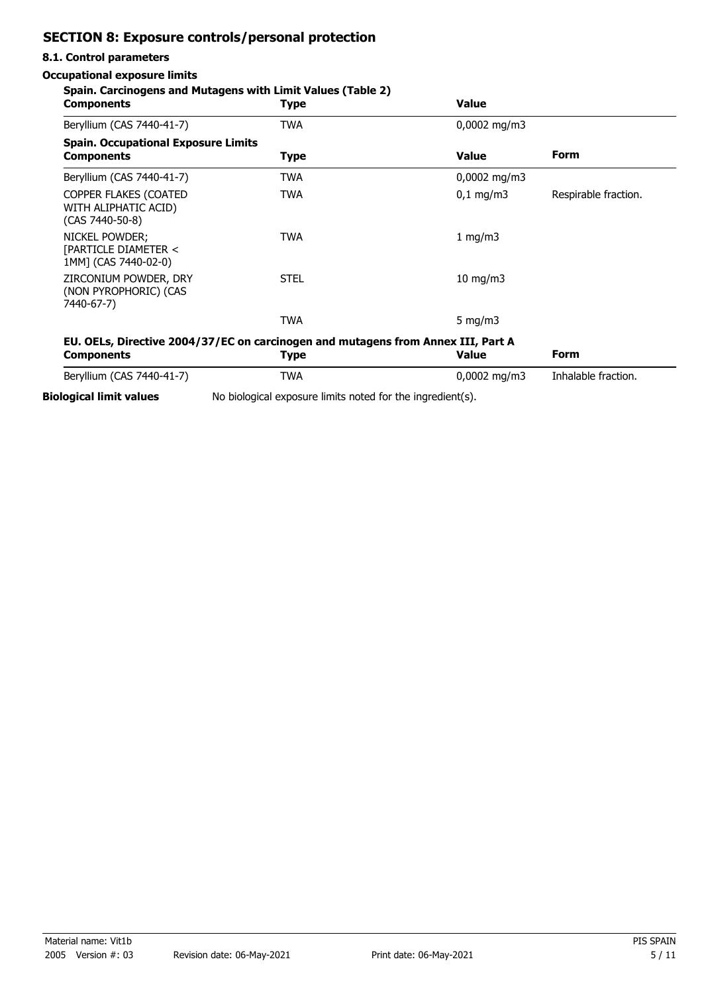## **SECTION 8: Exposure controls/personal protection**

#### **8.1. Control parameters**

#### **Occupational exposure limits**

#### **Spain. Carcinogens and Mutagens with Limit Values (Table 2)**

| <b>Components</b>                                                                                     | <b>Type</b>                                                | <b>Value</b>          |                      |
|-------------------------------------------------------------------------------------------------------|------------------------------------------------------------|-----------------------|----------------------|
| Beryllium (CAS 7440-41-7)                                                                             | <b>TWA</b>                                                 | $0,0002 \text{ mg/m}$ |                      |
| <b>Spain. Occupational Exposure Limits</b><br><b>Components</b>                                       | <b>Type</b>                                                | <b>Value</b>          | <b>Form</b>          |
| Beryllium (CAS 7440-41-7)                                                                             | <b>TWA</b>                                                 | $0,0002 \text{ mg/m}$ |                      |
| COPPER FLAKES (COATED<br>WITH ALIPHATIC ACID)<br>(CAS 7440-50-8)                                      | <b>TWA</b>                                                 | $0,1 \, \text{mg/m}$  | Respirable fraction. |
| NICKEL POWDER;<br>[PARTICLE DIAMETER <<br>1MM] (CAS 7440-02-0)                                        | <b>TWA</b>                                                 | 1 mg/m $3$            |                      |
| ZIRCONIUM POWDER, DRY<br>(NON PYROPHORIC) (CAS<br>7440-67-7)                                          | <b>STEL</b>                                                | $10$ mg/m $3$         |                      |
|                                                                                                       | <b>TWA</b>                                                 | 5 mg/m $3$            |                      |
| EU. OELs, Directive 2004/37/EC on carcinogen and mutagens from Annex III, Part A<br><b>Components</b> | <b>Type</b>                                                | <b>Value</b>          | <b>Form</b>          |
| Beryllium (CAS 7440-41-7)                                                                             | <b>TWA</b>                                                 | $0,0002$ mg/m3        | Inhalable fraction.  |
| <b>Biological limit values</b>                                                                        | No biological exposure limits noted for the ingredient(s). |                       |                      |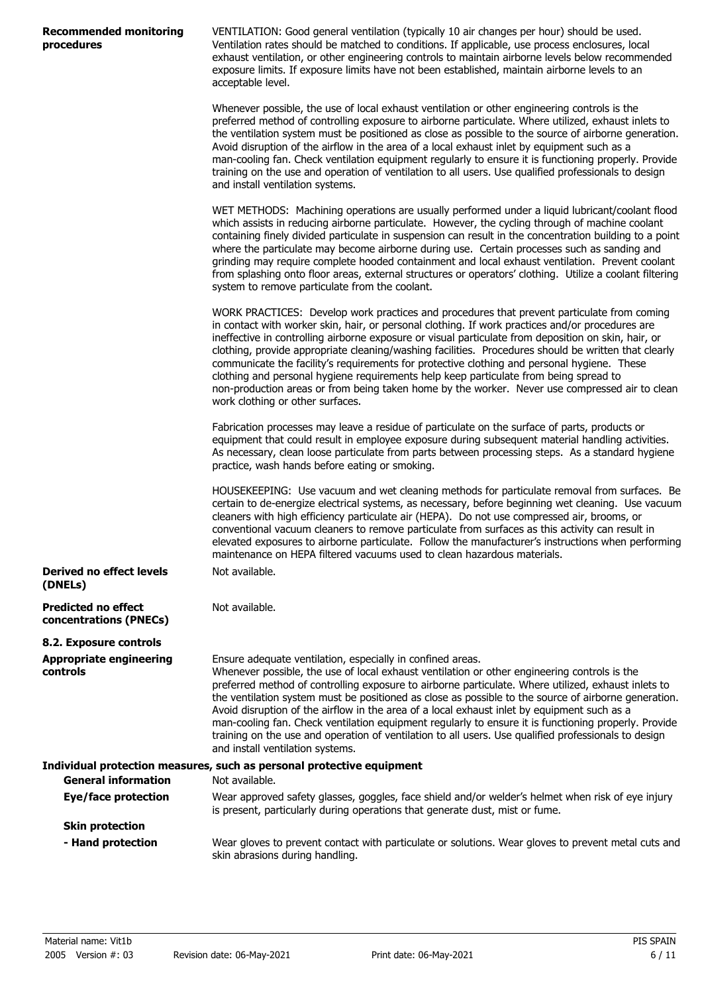| Recommended monitoring |  |
|------------------------|--|
| procedures             |  |

VENTILATION: Good general ventilation (typically 10 air changes per hour) should be used. Ventilation rates should be matched to conditions. If applicable, use process enclosures, local exhaust ventilation, or other engineering controls to maintain airborne levels below recommended exposure limits. If exposure limits have not been established, maintain airborne levels to an acceptable level.

Whenever possible, the use of local exhaust ventilation or other engineering controls is the preferred method of controlling exposure to airborne particulate. Where utilized, exhaust inlets to the ventilation system must be positioned as close as possible to the source of airborne generation. Avoid disruption of the airflow in the area of a local exhaust inlet by equipment such as a man-cooling fan. Check ventilation equipment regularly to ensure it is functioning properly. Provide training on the use and operation of ventilation to all users. Use qualified professionals to design and install ventilation systems.

WET METHODS: Machining operations are usually performed under a liquid lubricant/coolant flood which assists in reducing airborne particulate. However, the cycling through of machine coolant containing finely divided particulate in suspension can result in the concentration building to a point where the particulate may become airborne during use. Certain processes such as sanding and grinding may require complete hooded containment and local exhaust ventilation. Prevent coolant from splashing onto floor areas, external structures or operators' clothing. Utilize a coolant filtering system to remove particulate from the coolant.

WORK PRACTICES: Develop work practices and procedures that prevent particulate from coming in contact with worker skin, hair, or personal clothing. If work practices and/or procedures are ineffective in controlling airborne exposure or visual particulate from deposition on skin, hair, or clothing, provide appropriate cleaning/washing facilities. Procedures should be written that clearly communicate the facility's requirements for protective clothing and personal hygiene. These clothing and personal hygiene requirements help keep particulate from being spread to non-production areas or from being taken home by the worker. Never use compressed air to clean work clothing or other surfaces.

Fabrication processes may leave a residue of particulate on the surface of parts, products or equipment that could result in employee exposure during subsequent material handling activities. As necessary, clean loose particulate from parts between processing steps. As a standard hygiene practice, wash hands before eating or smoking.

HOUSEKEEPING: Use vacuum and wet cleaning methods for particulate removal from surfaces. Be certain to de-energize electrical systems, as necessary, before beginning wet cleaning. Use vacuum cleaners with high efficiency particulate air (HEPA). Do not use compressed air, brooms, or conventional vacuum cleaners to remove particulate from surfaces as this activity can result in elevated exposures to airborne particulate. Follow the manufacturer's instructions when performing maintenance on HEPA filtered vacuums used to clean hazardous materials. Not available.

**(DNELs) Predicted no effect concentrations (PNECs)** Not available. **8.2. Exposure controls**

**Derived no effect levels**

Ensure adequate ventilation, especially in confined areas. Whenever possible, the use of local exhaust ventilation or other engineering controls is the preferred method of controlling exposure to airborne particulate. Where utilized, exhaust inlets to the ventilation system must be positioned as close as possible to the source of airborne generation. Avoid disruption of the airflow in the area of a local exhaust inlet by equipment such as a man-cooling fan. Check ventilation equipment regularly to ensure it is functioning properly. Provide training on the use and operation of ventilation to all users. Use qualified professionals to design **Appropriate engineering controls**

and install ventilation systems. **Individual protection measures, such as personal protective equipment General information** Not available. Wear approved safety glasses, goggles, face shield and/or welder's helmet when risk of eye injury is present, particularly during operations that generate dust, mist or fume. **Eye/face protection Skin protection** Wear gloves to prevent contact with particulate or solutions. Wear gloves to prevent metal cuts and skin abrasions during handling. **- Hand protection**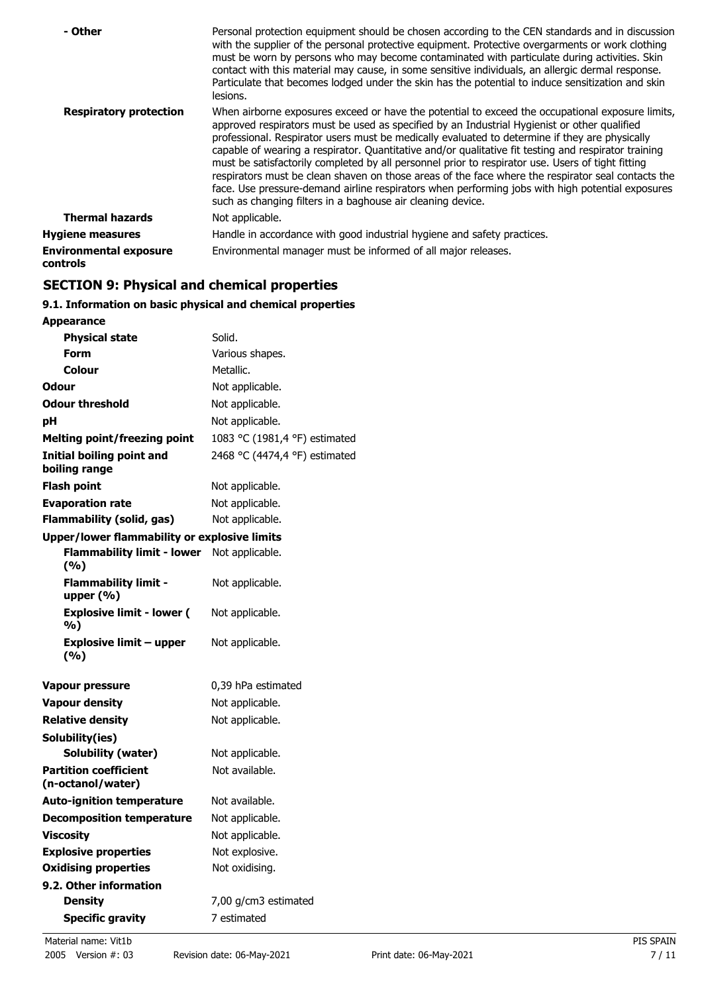| - Other                                   | Personal protection equipment should be chosen according to the CEN standards and in discussion<br>with the supplier of the personal protective equipment. Protective overgarments or work clothing<br>must be worn by persons who may become contaminated with particulate during activities. Skin<br>contact with this material may cause, in some sensitive individuals, an allergic dermal response.<br>Particulate that becomes lodged under the skin has the potential to induce sensitization and skin<br>lesions.                                                                                                                                                                                                                                                                |
|-------------------------------------------|------------------------------------------------------------------------------------------------------------------------------------------------------------------------------------------------------------------------------------------------------------------------------------------------------------------------------------------------------------------------------------------------------------------------------------------------------------------------------------------------------------------------------------------------------------------------------------------------------------------------------------------------------------------------------------------------------------------------------------------------------------------------------------------|
| <b>Respiratory protection</b>             | When airborne exposures exceed or have the potential to exceed the occupational exposure limits,<br>approved respirators must be used as specified by an Industrial Hygienist or other qualified<br>professional. Respirator users must be medically evaluated to determine if they are physically<br>capable of wearing a respirator. Quantitative and/or qualitative fit testing and respirator training<br>must be satisfactorily completed by all personnel prior to respirator use. Users of tight fitting<br>respirators must be clean shaven on those areas of the face where the respirator seal contacts the<br>face. Use pressure-demand airline respirators when performing jobs with high potential exposures<br>such as changing filters in a baghouse air cleaning device. |
| <b>Thermal hazards</b>                    | Not applicable.                                                                                                                                                                                                                                                                                                                                                                                                                                                                                                                                                                                                                                                                                                                                                                          |
| <b>Hygiene measures</b>                   | Handle in accordance with good industrial hygiene and safety practices.                                                                                                                                                                                                                                                                                                                                                                                                                                                                                                                                                                                                                                                                                                                  |
| <b>Environmental exposure</b><br>controls | Environmental manager must be informed of all major releases.                                                                                                                                                                                                                                                                                                                                                                                                                                                                                                                                                                                                                                                                                                                            |

## **SECTION 9: Physical and chemical properties**

## **9.1. Information on basic physical and chemical properties**

| Solid.                                              |
|-----------------------------------------------------|
| Various shapes.                                     |
| Metallic.                                           |
| Not applicable.                                     |
| Not applicable.                                     |
| Not applicable.                                     |
| 1083 °C (1981,4 °F) estimated                       |
| 2468 °C (4474,4 °F) estimated                       |
| Not applicable.                                     |
| Not applicable.                                     |
| Not applicable.                                     |
| <b>Upper/lower flammability or explosive limits</b> |
| Not applicable.                                     |
| Not applicable.                                     |
| Not applicable.                                     |
| Not applicable.                                     |
| 0,39 hPa estimated                                  |
| Not applicable.                                     |
| Not applicable.                                     |
|                                                     |
| Not applicable.                                     |
| Not available.                                      |
| Not available.                                      |
| Not applicable.                                     |
| Not applicable.                                     |
| Not explosive.                                      |
| Not oxidising.                                      |
|                                                     |
| 7,00 g/cm3 estimated                                |
| 7 estimated                                         |
|                                                     |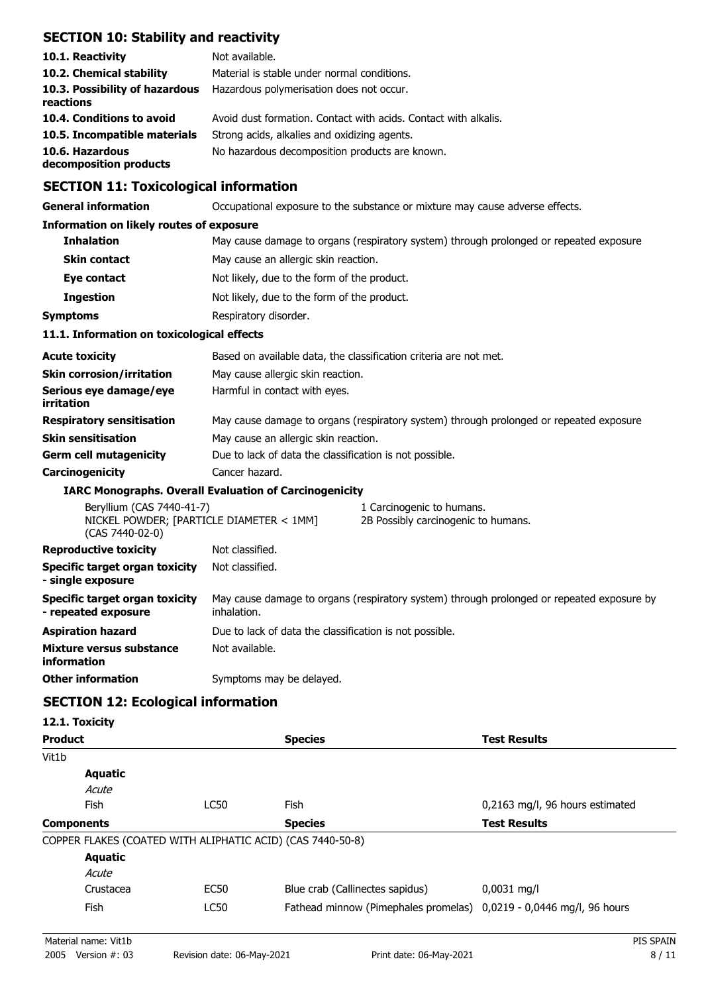## **SECTION 10: Stability and reactivity**

| 10.1. Reactivity                            | Not available.                                                  |
|---------------------------------------------|-----------------------------------------------------------------|
| 10.2. Chemical stability                    | Material is stable under normal conditions.                     |
| 10.3. Possibility of hazardous<br>reactions | Hazardous polymerisation does not occur.                        |
| 10.4. Conditions to avoid                   | Avoid dust formation. Contact with acids. Contact with alkalis. |
| 10.5. Incompatible materials                | Strong acids, alkalies and oxidizing agents.                    |
| 10.6. Hazardous<br>decomposition products   | No hazardous decomposition products are known.                  |

## **SECTION 11: Toxicological information**

**General information CCCUPATION** Occupational exposure to the substance or mixture may cause adverse effects.

#### **Information on likely routes of exposure**

| <b>Inhalation</b>                          | May cause damage to organs (respiratory system) through prolonged or repeated exposure. |  |
|--------------------------------------------|-----------------------------------------------------------------------------------------|--|
| <b>Skin contact</b>                        | May cause an allergic skin reaction.                                                    |  |
| Eye contact                                | Not likely, due to the form of the product.                                             |  |
| <b>Ingestion</b>                           | Not likely, due to the form of the product.                                             |  |
| Symptoms                                   | Respiratory disorder.                                                                   |  |
| 11.1. Information on toxicological effects |                                                                                         |  |
| <b>Acute toxicity</b>                      | Based on available data, the classification criteria are not met.                       |  |
| <b>Skin corrosion/irritation</b>           | May cause allergic skin reaction.                                                       |  |
| Serious eye damage/eye                     | Harmful in contact with eyes.                                                           |  |

| irritation                       |                                                                                         |
|----------------------------------|-----------------------------------------------------------------------------------------|
| <b>Respiratory sensitisation</b> | May cause damage to organs (respiratory system) through prolonged or repeated exposure. |
| <b>Skin sensitisation</b>        | May cause an allergic skin reaction.                                                    |
| <b>Germ cell mutagenicity</b>    | Due to lack of data the classification is not possible.                                 |
| Carcinogenicity                  | Cancer hazard.                                                                          |

#### **IARC Monographs. Overall Evaluation of Carcinogenicity**

| Beryllium (CAS 7440-41-7)<br>NICKEL POWDER; [PARTICLE DIAMETER < 1MM]<br>$(CAS 7440-02-0)$ |                                                                                                          | 1 Carcinogenic to humans.<br>2B Possibly carcinogenic to humans. |
|--------------------------------------------------------------------------------------------|----------------------------------------------------------------------------------------------------------|------------------------------------------------------------------|
| <b>Reproductive toxicity</b>                                                               | Not classified.                                                                                          |                                                                  |
| Specific target organ toxicity<br>- single exposure                                        | Not classified.                                                                                          |                                                                  |
| Specific target organ toxicity<br>- repeated exposure                                      | May cause damage to organs (respiratory system) through prolonged or repeated exposure by<br>inhalation. |                                                                  |
| <b>Aspiration hazard</b>                                                                   | Due to lack of data the classification is not possible.                                                  |                                                                  |
| Mixture versus substance<br>information                                                    | Not available.                                                                                           |                                                                  |
| <b>Other information</b>                                                                   | Symptoms may be delayed.                                                                                 |                                                                  |

## **SECTION 12: Ecological information**

### **12.1. Toxicity**

| <b>Product</b>    |                |                                                            | <b>Species</b>                                                      | <b>Test Results</b>             |
|-------------------|----------------|------------------------------------------------------------|---------------------------------------------------------------------|---------------------------------|
| Vit1b             |                |                                                            |                                                                     |                                 |
|                   | Aquatic        |                                                            |                                                                     |                                 |
|                   | Acute          |                                                            |                                                                     |                                 |
|                   | Fish           | LC50                                                       | <b>Fish</b>                                                         | 0,2163 mg/l, 96 hours estimated |
| <b>Components</b> |                |                                                            | <b>Species</b>                                                      | <b>Test Results</b>             |
|                   |                | COPPER FLAKES (COATED WITH ALIPHATIC ACID) (CAS 7440-50-8) |                                                                     |                                 |
|                   | <b>Aquatic</b> |                                                            |                                                                     |                                 |
|                   | Acute          |                                                            |                                                                     |                                 |
|                   | Crustacea      | EC50                                                       | Blue crab (Callinectes sapidus)                                     | $0,0031$ mg/l                   |
|                   | <b>Fish</b>    | <b>LC50</b>                                                | Fathead minnow (Pimephales promelas) 0,0219 - 0,0446 mg/l, 96 hours |                                 |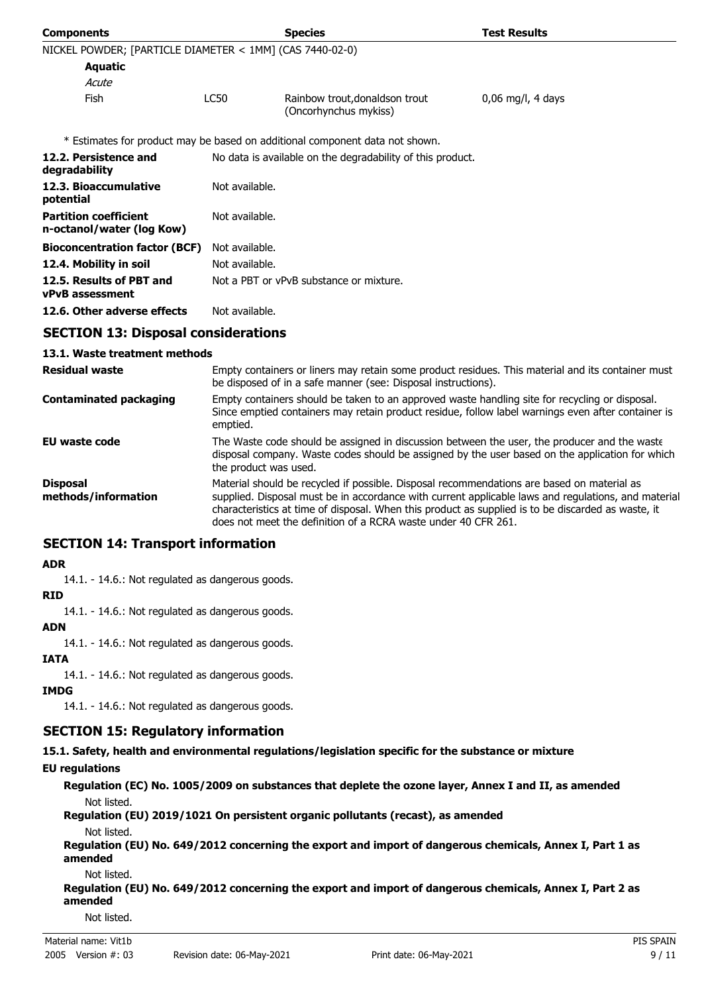| <b>Components</b>                                         |                                                                                                                                                                                                                  | <b>Species</b>                                                                               | <b>Test Results</b> |
|-----------------------------------------------------------|------------------------------------------------------------------------------------------------------------------------------------------------------------------------------------------------------------------|----------------------------------------------------------------------------------------------|---------------------|
| NICKEL POWDER; [PARTICLE DIAMETER < 1MM] (CAS 7440-02-0)  |                                                                                                                                                                                                                  |                                                                                              |                     |
| <b>Aquatic</b>                                            |                                                                                                                                                                                                                  |                                                                                              |                     |
| Acute                                                     |                                                                                                                                                                                                                  |                                                                                              |                     |
| Fish                                                      | <b>LC50</b>                                                                                                                                                                                                      | Rainbow trout, donaldson trout<br>(Oncorhynchus mykiss)                                      | 0,06 mg/l, 4 days   |
|                                                           |                                                                                                                                                                                                                  | * Estimates for product may be based on additional component data not shown.                 |                     |
| 12.2. Persistence and<br>degradability                    | No data is available on the degradability of this product.                                                                                                                                                       |                                                                                              |                     |
| 12.3. Bioaccumulative<br>potential                        | Not available.                                                                                                                                                                                                   |                                                                                              |                     |
| <b>Partition coefficient</b><br>n-octanol/water (log Kow) | Not available.                                                                                                                                                                                                   |                                                                                              |                     |
| <b>Bioconcentration factor (BCF)</b>                      | Not available.                                                                                                                                                                                                   |                                                                                              |                     |
| 12.4. Mobility in soil                                    | Not available.                                                                                                                                                                                                   |                                                                                              |                     |
| 12.5. Results of PBT and<br><b>vPvB</b> assessment        | Not a PBT or vPvB substance or mixture.                                                                                                                                                                          |                                                                                              |                     |
| 12.6. Other adverse effects                               | Not available.                                                                                                                                                                                                   |                                                                                              |                     |
| <b>SECTION 13: Disposal considerations</b>                |                                                                                                                                                                                                                  |                                                                                              |                     |
| 13.1. Waste treatment methods                             |                                                                                                                                                                                                                  |                                                                                              |                     |
| Residual waste                                            | Empty containers or liners may retain some product residues. This material and its container must<br>be disposed of in a safe manner (see: Disposal instructions).                                               |                                                                                              |                     |
| <b>Contaminated packaging</b>                             | Empty containers should be taken to an approved waste handling site for recycling or disposal.<br>Since emptied containers may retain product residue, follow label warnings even after container is<br>emptied. |                                                                                              |                     |
| EU waste code                                             |                                                                                                                                                                                                                  | The Waste code should be assigned in discussion between the user, the producer and the waste |                     |

disposal company. Waste codes should be assigned by the user based on the application for which the product was used. Material should be recycled if possible. Disposal recommendations are based on material as **Disposal**

supplied. Disposal must be in accordance with current applicable laws and regulations, and material characteristics at time of disposal. When this product as supplied is to be discarded as waste, it does not meet the definition of a RCRA waste under 40 CFR 261. **methods/information**

### **SECTION 14: Transport information**

#### **ADR**

14.1. - 14.6.: Not regulated as dangerous goods.

#### **RID**

14.1. - 14.6.: Not regulated as dangerous goods.

#### **ADN**

14.1. - 14.6.: Not regulated as dangerous goods.

#### **IATA**

14.1. - 14.6.: Not regulated as dangerous goods.

#### **IMDG**

14.1. - 14.6.: Not regulated as dangerous goods.

### **SECTION 15: Regulatory information**

**15.1. Safety, health and environmental regulations/legislation specific for the substance or mixture**

#### **EU regulations**

**Regulation (EC) No. 1005/2009 on substances that deplete the ozone layer, Annex I and II, as amended** Not listed.

**Regulation (EU) 2019/1021 On persistent organic pollutants (recast), as amended** Not listed.

**Regulation (EU) No. 649/2012 concerning the export and import of dangerous chemicals, Annex I, Part 1 as amended**

Not listed.

**Regulation (EU) No. 649/2012 concerning the export and import of dangerous chemicals, Annex I, Part 2 as amended**

Not listed.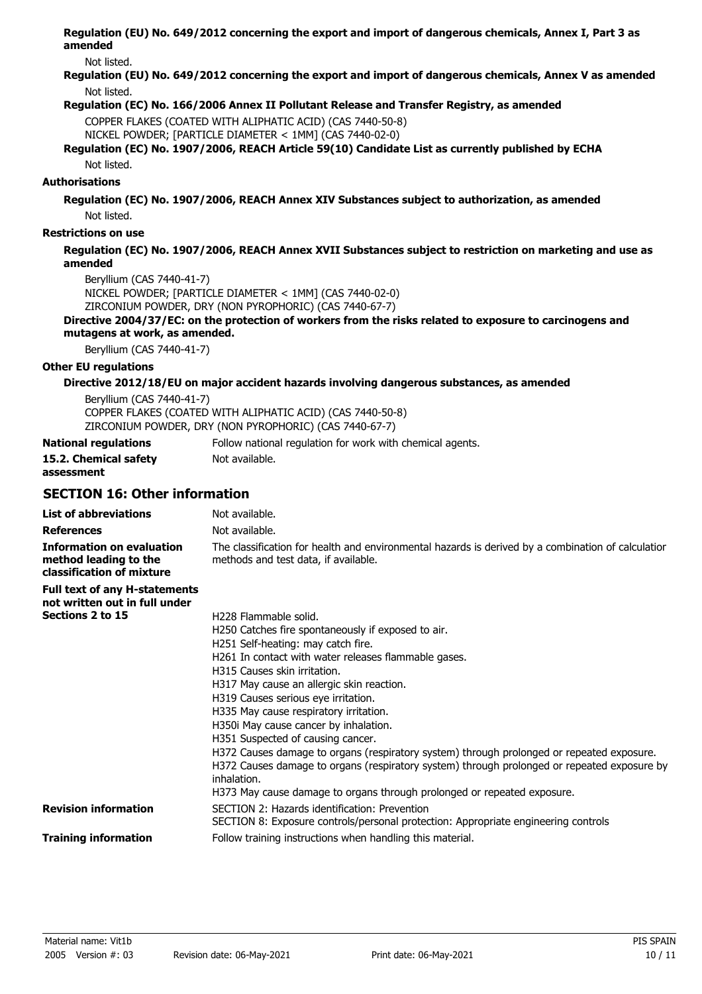**Regulation (EU) No. 649/2012 concerning the export and import of dangerous chemicals, Annex I, Part 3 as amended**

Not listed.

**Regulation (EU) No. 649/2012 concerning the export and import of dangerous chemicals, Annex V as amended** Not listed.

#### **Regulation (EC) No. 166/2006 Annex II Pollutant Release and Transfer Registry, as amended**

COPPER FLAKES (COATED WITH ALIPHATIC ACID) (CAS 7440-50-8)

NICKEL POWDER; [PARTICLE DIAMETER < 1MM] (CAS 7440-02-0)

**Regulation (EC) No. 1907/2006, REACH Article 59(10) Candidate List as currently published by ECHA** Not listed.

#### **Authorisations**

**Regulation (EC) No. 1907/2006, REACH Annex XIV Substances subject to authorization, as amended** Not listed.

#### **Restrictions on use**

#### **Regulation (EC) No. 1907/2006, REACH Annex XVII Substances subject to restriction on marketing and use as amended**

Beryllium (CAS 7440-41-7)

NICKEL POWDER; [PARTICLE DIAMETER < 1MM] (CAS 7440-02-0) ZIRCONIUM POWDER, DRY (NON PYROPHORIC) (CAS 7440-67-7)

#### **Directive 2004/37/EC: on the protection of workers from the risks related to exposure to carcinogens and mutagens at work, as amended.**

Beryllium (CAS 7440-41-7)

#### **Other EU regulations**

#### **Directive 2012/18/EU on major accident hazards involving dangerous substances, as amended**

Beryllium (CAS 7440-41-7) COPPER FLAKES (COATED WITH ALIPHATIC ACID) (CAS 7440-50-8) ZIRCONIUM POWDER, DRY (NON PYROPHORIC) (CAS 7440-67-7)

| National regulations  | Follow national regulation for work with chemical agents. |
|-----------------------|-----------------------------------------------------------|
| 15.2. Chemical safety | Not available.                                            |
| assessment            |                                                           |

## **SECTION 16: Other information**

| <b>List of abbreviations</b>                                                           | Not available.                                                                                                                                                                                          |
|----------------------------------------------------------------------------------------|---------------------------------------------------------------------------------------------------------------------------------------------------------------------------------------------------------|
| <b>References</b>                                                                      | Not available.                                                                                                                                                                                          |
| <b>Information on evaluation</b><br>method leading to the<br>classification of mixture | The classification for health and environmental hazards is derived by a combination of calculatior<br>methods and test data, if available.                                                              |
| <b>Full text of any H-statements</b><br>not written out in full under                  |                                                                                                                                                                                                         |
| Sections 2 to 15                                                                       | H <sub>228</sub> Flammable solid.                                                                                                                                                                       |
|                                                                                        | H250 Catches fire spontaneously if exposed to air.                                                                                                                                                      |
|                                                                                        | H251 Self-heating: may catch fire.                                                                                                                                                                      |
|                                                                                        | H261 In contact with water releases flammable gases.                                                                                                                                                    |
|                                                                                        | H315 Causes skin irritation.                                                                                                                                                                            |
|                                                                                        | H317 May cause an allergic skin reaction.                                                                                                                                                               |
|                                                                                        | H319 Causes serious eye irritation.                                                                                                                                                                     |
|                                                                                        | H335 May cause respiratory irritation.                                                                                                                                                                  |
|                                                                                        | H350i May cause cancer by inhalation.                                                                                                                                                                   |
|                                                                                        | H351 Suspected of causing cancer.                                                                                                                                                                       |
|                                                                                        | H372 Causes damage to organs (respiratory system) through prolonged or repeated exposure.<br>H372 Causes damage to organs (respiratory system) through prolonged or repeated exposure by<br>inhalation. |
|                                                                                        | H373 May cause damage to organs through prolonged or repeated exposure.                                                                                                                                 |
| <b>Revision information</b>                                                            | SECTION 2: Hazards identification: Prevention<br>SECTION 8: Exposure controls/personal protection: Appropriate engineering controls                                                                     |
| <b>Training information</b>                                                            | Follow training instructions when handling this material.                                                                                                                                               |